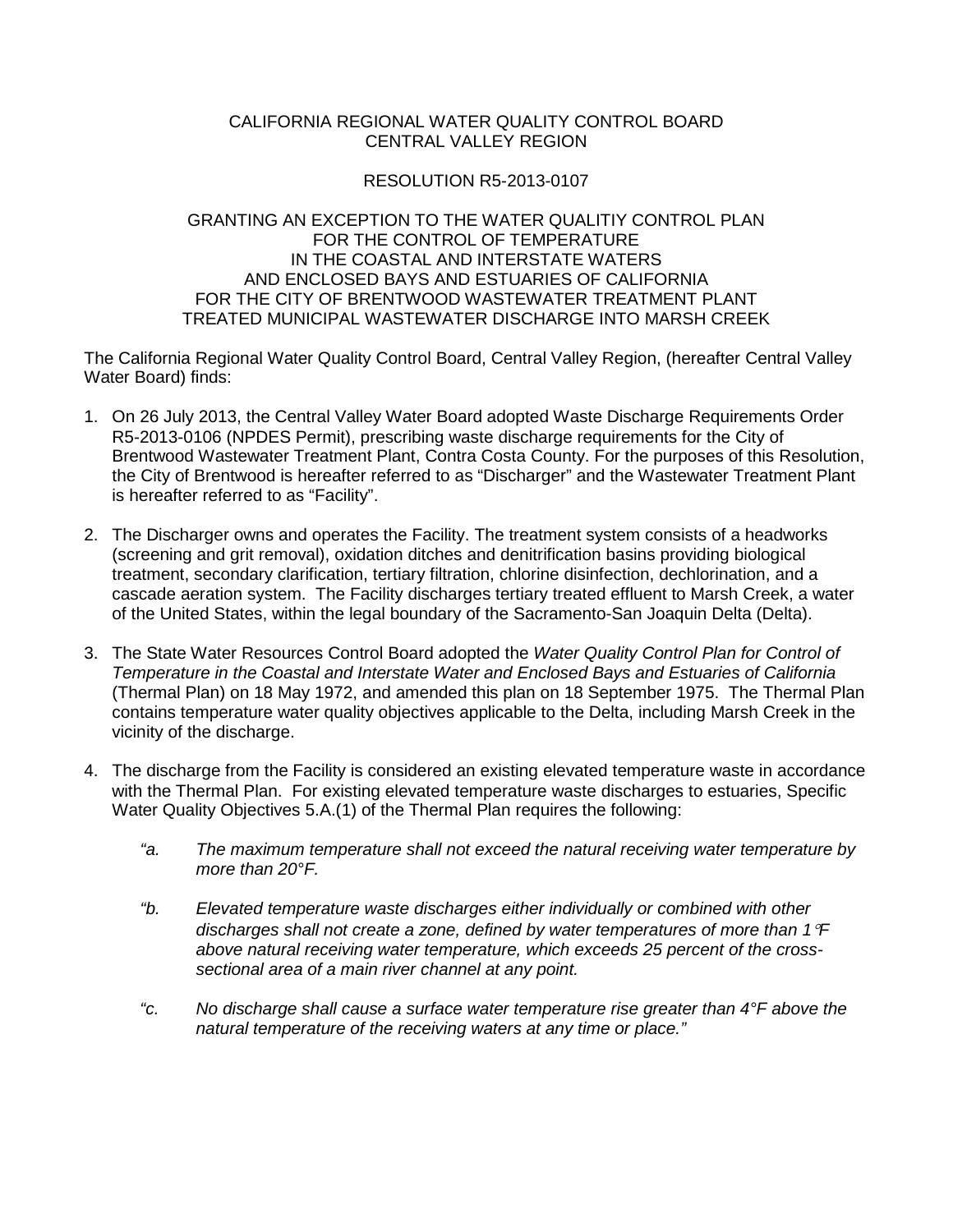## CALIFORNIA REGIONAL WATER QUALITY CONTROL BOARD CENTRAL VALLEY REGION

## RESOLUTION R5-2013-0107

## GRANTING AN EXCEPTION TO THE WATER QUALITIY CONTROL PLAN FOR THE CONTROL OF TEMPERATURE IN THE COASTAL AND INTERSTATE WATERS AND ENCLOSED BAYS AND ESTUARIES OF CALIFORNIA FOR THE CITY OF BRENTWOOD WASTEWATER TREATMENT PLANT TREATED MUNICIPAL WASTEWATER DISCHARGE INTO MARSH CREEK

The California Regional Water Quality Control Board, Central Valley Region, (hereafter Central Valley Water Board) finds:

- 1. On 26 July 2013, the Central Valley Water Board adopted Waste Discharge Requirements Order R5-2013-0106 (NPDES Permit), prescribing waste discharge requirements for the City of Brentwood Wastewater Treatment Plant, Contra Costa County. For the purposes of this Resolution, the City of Brentwood is hereafter referred to as "Discharger" and the Wastewater Treatment Plant is hereafter referred to as "Facility".
- 2. The Discharger owns and operates the Facility. The treatment system consists of a headworks (screening and grit removal), oxidation ditches and denitrification basins providing biological treatment, secondary clarification, tertiary filtration, chlorine disinfection, dechlorination, and a cascade aeration system. The Facility discharges tertiary treated effluent to Marsh Creek, a water of the United States, within the legal boundary of the Sacramento-San Joaquin Delta (Delta).
- 3. The State Water Resources Control Board adopted the *Water Quality Control Plan for Control of Temperature in the Coastal and Interstate Water and Enclosed Bays and Estuaries of California* (Thermal Plan) on 18 May 1972, and amended this plan on 18 September 1975. The Thermal Plan contains temperature water quality objectives applicable to the Delta, including Marsh Creek in the vicinity of the discharge.
- 4. The discharge from the Facility is considered an existing elevated temperature waste in accordance with the Thermal Plan. For existing elevated temperature waste discharges to estuaries, Specific Water Quality Objectives 5.A.(1) of the Thermal Plan requires the following:
	- *"a. The maximum temperature shall not exceed the natural receiving water temperature by more than 20°F.*
	- *"b. Elevated temperature waste discharges either individually or combined with other discharges shall not create a zone, defined by water temperatures of more than 1*°*F above natural receiving water temperature, which exceeds 25 percent of the crosssectional area of a main river channel at any point.*
	- *"c. No discharge shall cause a surface water temperature rise greater than 4°F above the natural temperature of the receiving waters at any time or place."*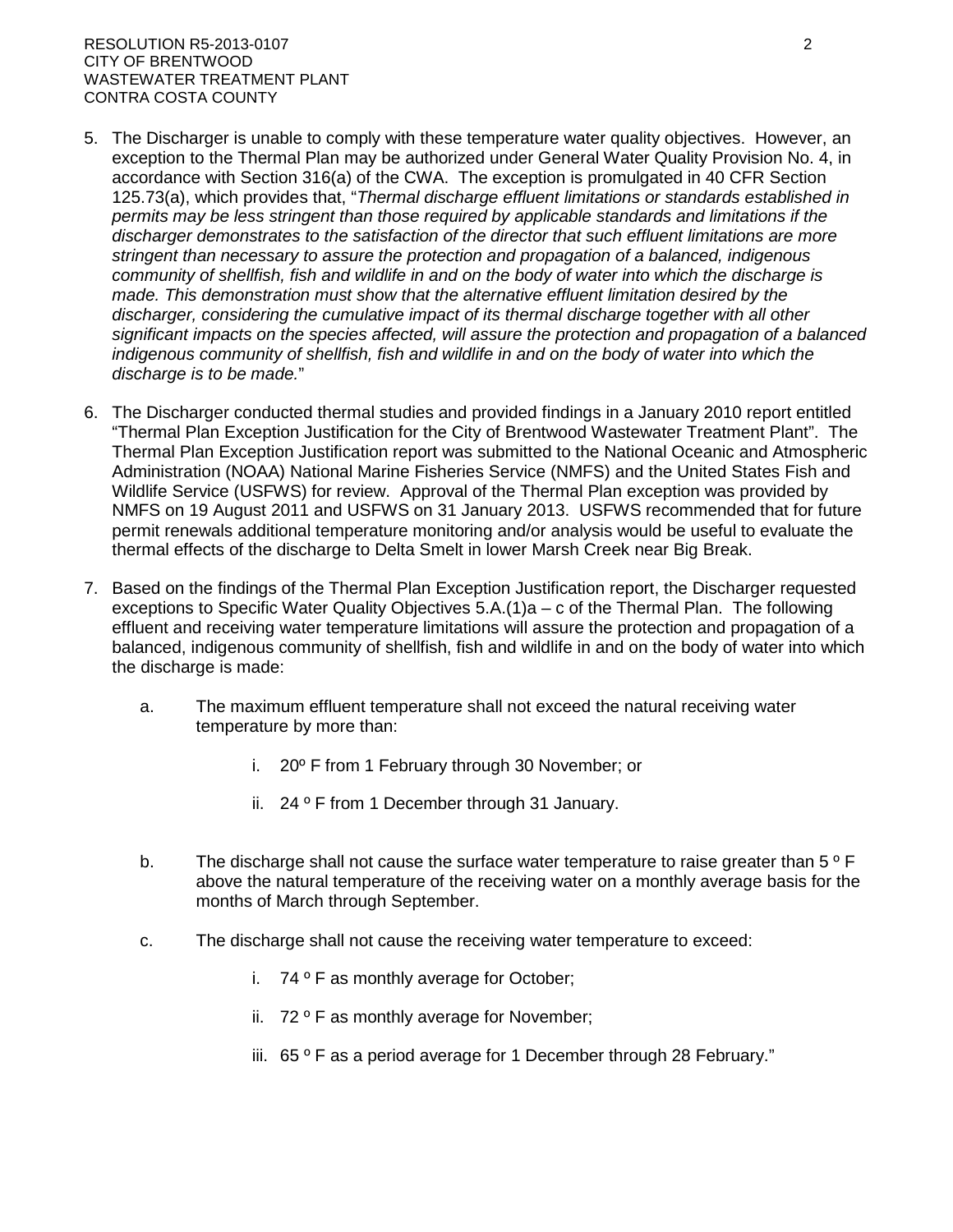## RESOLUTION R5-2013-0107 2 CITY OF BRENTWOOD WASTEWATER TREATMENT PLANT CONTRA COSTA COUNTY

- 5. The Discharger is unable to comply with these temperature water quality objectives. However, an exception to the Thermal Plan may be authorized under General Water Quality Provision No. 4, in accordance with Section 316(a) of the CWA. The exception is promulgated in 40 CFR Section 125.73(a), which provides that, "*Thermal discharge effluent limitations or standards established in permits may be less stringent than those required by applicable standards and limitations if the discharger demonstrates to the satisfaction of the director that such effluent limitations are more stringent than necessary to assure the protection and propagation of a balanced, indigenous community of shellfish, fish and wildlife in and on the body of water into which the discharge is made. This demonstration must show that the alternative effluent limitation desired by the discharger, considering the cumulative impact of its thermal discharge together with all other significant impacts on the species affected, will assure the protection and propagation of a balanced indigenous community of shellfish, fish and wildlife in and on the body of water into which the discharge is to be made.*"
- 6. The Discharger conducted thermal studies and provided findings in a January 2010 report entitled "Thermal Plan Exception Justification for the City of Brentwood Wastewater Treatment Plant". The Thermal Plan Exception Justification report was submitted to the National Oceanic and Atmospheric Administration (NOAA) National Marine Fisheries Service (NMFS) and the United States Fish and Wildlife Service (USFWS) for review. Approval of the Thermal Plan exception was provided by NMFS on 19 August 2011 and USFWS on 31 January 2013. USFWS recommended that for future permit renewals additional temperature monitoring and/or analysis would be useful to evaluate the thermal effects of the discharge to Delta Smelt in lower Marsh Creek near Big Break.
- 7. Based on the findings of the Thermal Plan Exception Justification report, the Discharger requested exceptions to Specific Water Quality Objectives 5.A.(1)a – c of the Thermal Plan. The following effluent and receiving water temperature limitations will assure the protection and propagation of a balanced, indigenous community of shellfish, fish and wildlife in and on the body of water into which the discharge is made:
	- a. The maximum effluent temperature shall not exceed the natural receiving water temperature by more than:
		- i. 20º F from 1 February through 30 November; or
		- ii. 24 º F from 1 December through 31 January.
	- b. The discharge shall not cause the surface water temperature to raise greater than  $5^{\circ}$  F above the natural temperature of the receiving water on a monthly average basis for the months of March through September.
	- c. The discharge shall not cause the receiving water temperature to exceed:
		- i. 74 º F as monthly average for October;
		- ii. 72 ° F as monthly average for November;
		- iii.  $65^\circ$  F as a period average for 1 December through 28 February."